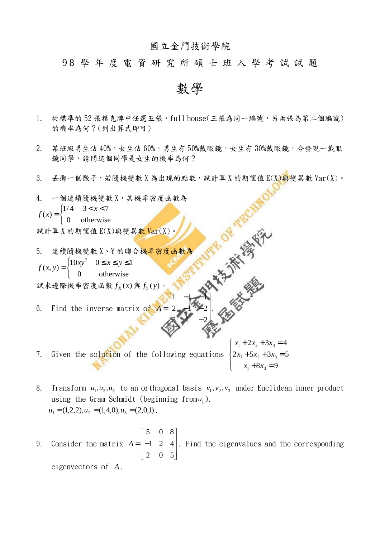## 國立金門技術學院

## 9 8 學 年 度 電 資 研 究 所 碩 士 班 入 學 考 試 試 題

數學

- 1. 從標準的 52張撲克牌中任選五張, full house(三張為同一編號,另兩張為第二個編號) 的機率為何?(列出算式即可)
- 2. 某班級男生佔 40%,女生佔 60%,男生有 50%戴眼鏡,女生有 30%戴眼鏡,今發現一戴眼 鏡同學,請問這個同學是女生的機率為何?
- $3.$  丢擲一個骰子,若隨機變數 X 為出現的點數,試計算 X 的期望值 E(X)與變異數 Var(X)。

4. 
$$
-\mathbb{E}[\mathbf{a}(\mathbf{x})] = \begin{cases} 1/4 & 3 < x < 7 \\ 0 & \text{otherwise} \end{cases}
$$

\n5. 
$$
\mathbb{E}[\mathbf{a}(\mathbf{x})] = \begin{cases} 1/4 & 3 < x < 7 \\ 0 & \text{otherwise} \end{cases}
$$

\n6. Find the inverse matrix of  $\mathbf{A} = \begin{cases} 1 & 2 < x < 1 \\ 2 & 3 < x < 1 \\ 4 & 4 & 5 < 1 \\ 0 & \text{otherwise} \end{cases}$ 

\n7. 
$$
\mathbb{E}[\mathbf{a}(\mathbf{x}, \mathbf{y})] = \begin{cases} 10xy^2 & 0 \leq x \leq y \leq 1 \\ 0 & \text{otherwise} \end{cases}
$$

\n8. 
$$
\mathbb{E}[\mathbf{a}(\mathbf{x}, \mathbf{y})] = \begin{cases} 1 & 0 < x < 1 \\ 0 & \text{otherwise} \end{cases}
$$

\n9. 
$$
\mathbb{E}[\mathbf{a}(\mathbf{x}, \mathbf{y})] = \begin{cases} 1 & 0 < x < 1 \\ 0 & 0 < 1 \\ 0 & 0 < 1 \end{cases}
$$

\n10. 
$$
\mathbb{E}[\mathbf{a}(\mathbf{x}, \mathbf{y})] = \begin{cases} 1 & 0 < x < 1 \\ 0 & 0 < 1 \\ 0 & 0 < 1 \end{cases}
$$

\n21. 
$$
\mathbb{E}[\mathbf{a}(\mathbf{x}, \mathbf{y})] = \begin{cases} 1 & 0 < x < 1 \\ 0 & 0 < 1 \\ 0 & 0 < 1 \end{cases}
$$

\n33. 
$$
\mathbb{E}[\mathbf{a}(\mathbf{x}, \mathbf{y})] = \begin{cases} 1 & 0 < x < 1 \\ 0 & 0 < 1 \\ 0 & 0 < 1 \end{cases}
$$

7. Given the solution of the following equations  $\overline{\mathcal{L}}$  $\overline{1}$ ∤  $\int$  $+ 8x_3 =$  $+ 5x_2 + 3x_3 =$  $+ 2x_2 + 3x_3 =$  $8x_3 = 9$  $2x_1 + 5x_2 + 3x_3 = 5$  $2x_2 + 3x_3 = 4$  $_{1}$   $\cdot$   $\sigma$ <sub>3</sub>  $1^{1}$   $3^{1}$   $3^{1}$   $3^{1}$  $1 + 2\lambda_2 + 3\lambda_3$  $x_1 + 8x$  $x_1 + 5x_2 + 3x$  $x_1 + 2x_2 + 3x$ 

- 8. Transform  $u_1, u_2, u_3$  to an orthogonal basis  $v_1, v_2, v_3$  under Euclidean inner product using the Gram-Schmidt (beginning from  $u_1$ ).  $u_1 = (1,2,2), u_2 = (1,4,0), u_3 = (2,0,1)$ .
- 9. Consider the matrix  $\overline{\phantom{a}}$  $\overline{\phantom{a}}$  $\overline{\phantom{a}}$ 」 1 L  $\mathbf{r}$  $\mathbf{r}$ L Γ = − 2 0 5 1 2 4 5 0 8  $A = \begin{bmatrix} -1 & 2 & 4 \end{bmatrix}$ . Find the eigenvalues and the corresponding eigenvectors of *A* .